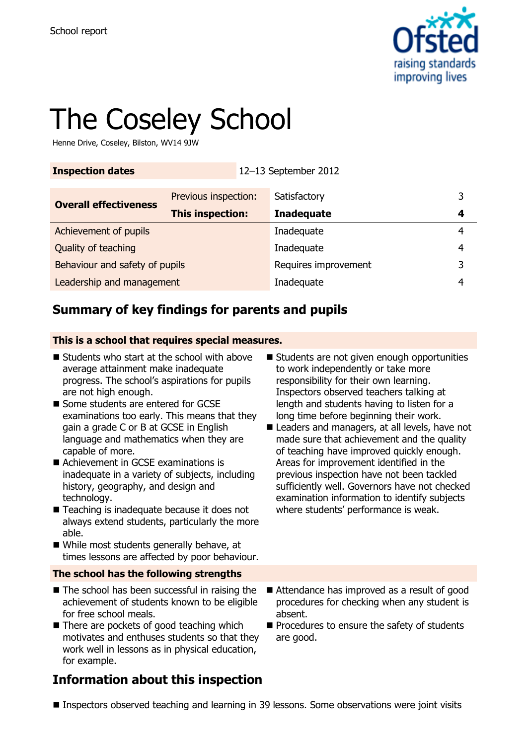

# The Coseley School

Henne Drive, Coseley, Bilston, WV14 9JW

| <b>Inspection dates</b> | 12-13 September 2012 |
|-------------------------|----------------------|
|                         |                      |

|                                | Previous inspection: | Satisfactory         | 3 |
|--------------------------------|----------------------|----------------------|---|
| <b>Overall effectiveness</b>   | This inspection:     | <b>Inadequate</b>    |   |
| Achievement of pupils          |                      | Inadequate           | 4 |
| Quality of teaching            |                      | Inadequate           | 4 |
| Behaviour and safety of pupils |                      | Requires improvement | 3 |
| Leadership and management      |                      | Inadequate           | 4 |

# **Summary of key findings for parents and pupils**

#### **This is a school that requires special measures.**

- $\blacksquare$  Students who start at the school with above average attainment make inadequate progress. The school's aspirations for pupils are not high enough.
- Some students are entered for GCSE examinations too early. This means that they gain a grade C or B at GCSE in English language and mathematics when they are capable of more.
- Achievement in GCSE examinations is inadequate in a variety of subjects, including history, geography, and design and technology.
- Teaching is inadequate because it does not always extend students, particularly the more able.
- While most students generally behave, at times lessons are affected by poor behaviour.

#### **The school has the following strengths**

- $\blacksquare$  The school has been successful in raising the achievement of students known to be eligible for free school meals.
- There are pockets of good teaching which motivates and enthuses students so that they work well in lessons as in physical education, for example.

# **Information about this inspection**

- Students are not given enough opportunities to work independently or take more responsibility for their own learning. Inspectors observed teachers talking at length and students having to listen for a long time before beginning their work.
- Leaders and managers, at all levels, have not made sure that achievement and the quality of teaching have improved quickly enough. Areas for improvement identified in the previous inspection have not been tackled sufficiently well. Governors have not checked examination information to identify subjects where students' performance is weak.
- Attendance has improved as a result of good procedures for checking when any student is absent.
- $\blacksquare$  Procedures to ensure the safety of students are good.

■ Inspectors observed teaching and learning in 39 lessons. Some observations were joint visits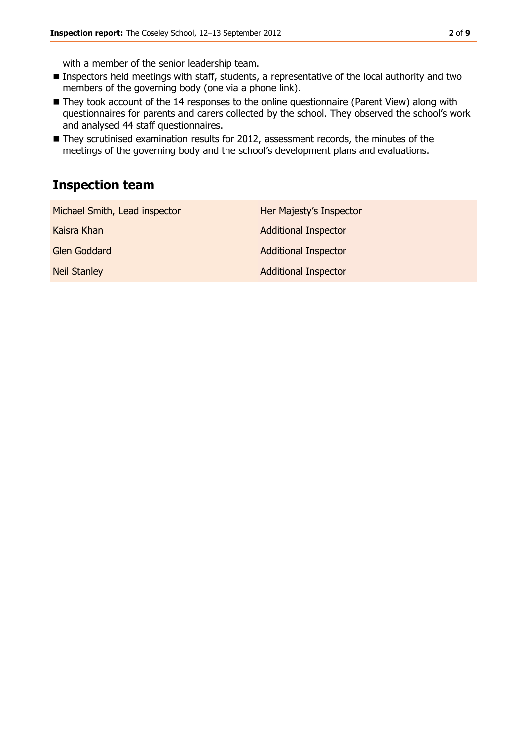with a member of the senior leadership team.

- **Inspectors held meetings with staff, students, a representative of the local authority and two** members of the governing body (one via a phone link).
- They took account of the 14 responses to the online questionnaire (Parent View) along with questionnaires for parents and carers collected by the school. They observed the school's work and analysed 44 staff questionnaires.
- They scrutinised examination results for 2012, assessment records, the minutes of the meetings of the governing body and the school's development plans and evaluations.

### **Inspection team**

| Michael Smith, Lead inspector | Her Majesty's Inspector     |
|-------------------------------|-----------------------------|
| Kaisra Khan                   | <b>Additional Inspector</b> |
| Glen Goddard                  | <b>Additional Inspector</b> |
| <b>Neil Stanley</b>           | <b>Additional Inspector</b> |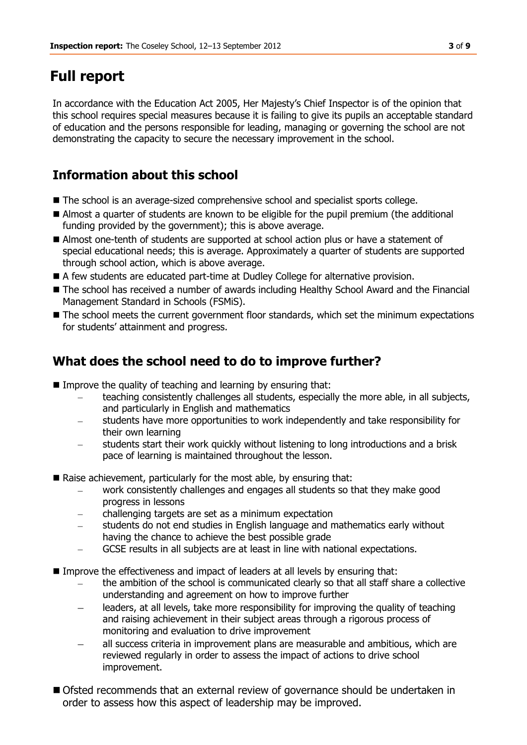# **Full report**

In accordance with the Education Act 2005, Her Majesty's Chief Inspector is of the opinion that this school requires special measures because it is failing to give its pupils an acceptable standard of education and the persons responsible for leading, managing or governing the school are not demonstrating the capacity to secure the necessary improvement in the school.

## **Information about this school**

- The school is an average-sized comprehensive school and specialist sports college.
- Almost a quarter of students are known to be eligible for the pupil premium (the additional funding provided by the government); this is above average.
- Almost one-tenth of students are supported at school action plus or have a statement of special educational needs; this is average. Approximately a quarter of students are supported through school action, which is above average.
- A few students are educated part-time at Dudley College for alternative provision.
- The school has received a number of awards including Healthy School Award and the Financial Management Standard in Schools (FSMiS).
- The school meets the current government floor standards, which set the minimum expectations for students' attainment and progress.

# **What does the school need to do to improve further?**

- Improve the quality of teaching and learning by ensuring that:
	- teaching consistently challenges all students, especially the more able, in all subjects, and particularly in English and mathematics
	- students have more opportunities to work independently and take responsibility for their own learning
	- students start their work quickly without listening to long introductions and a brisk pace of learning is maintained throughout the lesson.
- Raise achievement, particularly for the most able, by ensuring that:
	- work consistently challenges and engages all students so that they make good progress in lessons
	- challenging targets are set as a minimum expectation
	- students do not end studies in English language and mathematics early without having the chance to achieve the best possible grade
	- GCSE results in all subjects are at least in line with national expectations.
- Improve the effectiveness and impact of leaders at all levels by ensuring that:
	- the ambition of the school is communicated clearly so that all staff share a collective understanding and agreement on how to improve further
	- leaders, at all levels, take more responsibility for improving the quality of teaching  $\equiv$ and raising achievement in their subject areas through a rigorous process of monitoring and evaluation to drive improvement
	- all success criteria in improvement plans are measurable and ambitious, which are reviewed regularly in order to assess the impact of actions to drive school improvement.
- Ofsted recommends that an external review of governance should be undertaken in order to assess how this aspect of leadership may be improved.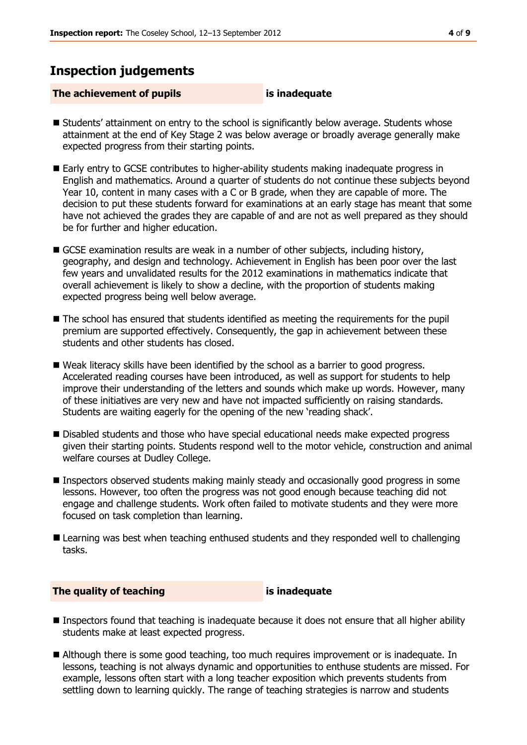#### **Inspection judgements**

#### **The achievement of pupils is inadequate**

- Students' attainment on entry to the school is significantly below average. Students whose attainment at the end of Key Stage 2 was below average or broadly average generally make expected progress from their starting points.
- Early entry to GCSE contributes to higher-ability students making inadequate progress in English and mathematics. Around a quarter of students do not continue these subjects beyond Year 10, content in many cases with a C or B grade, when they are capable of more. The decision to put these students forward for examinations at an early stage has meant that some have not achieved the grades they are capable of and are not as well prepared as they should be for further and higher education.
- GCSE examination results are weak in a number of other subjects, including history, geography, and design and technology. Achievement in English has been poor over the last few years and unvalidated results for the 2012 examinations in mathematics indicate that overall achievement is likely to show a decline, with the proportion of students making expected progress being well below average.
- The school has ensured that students identified as meeting the requirements for the pupil premium are supported effectively. Consequently, the gap in achievement between these students and other students has closed.
- Weak literacy skills have been identified by the school as a barrier to good progress. Accelerated reading courses have been introduced, as well as support for students to help improve their understanding of the letters and sounds which make up words. However, many of these initiatives are very new and have not impacted sufficiently on raising standards. Students are waiting eagerly for the opening of the new 'reading shack'.
- **Disabled students and those who have special educational needs make expected progress** given their starting points. Students respond well to the motor vehicle, construction and animal welfare courses at Dudley College.
- Inspectors observed students making mainly steady and occasionally good progress in some lessons. However, too often the progress was not good enough because teaching did not engage and challenge students. Work often failed to motivate students and they were more focused on task completion than learning.
- **Learning was best when teaching enthused students and they responded well to challenging** tasks.

**The quality of teaching is inadequate**

- Inspectors found that teaching is inadequate because it does not ensure that all higher ability students make at least expected progress.
- Although there is some good teaching, too much requires improvement or is inadequate. In lessons, teaching is not always dynamic and opportunities to enthuse students are missed. For example, lessons often start with a long teacher exposition which prevents students from settling down to learning quickly. The range of teaching strategies is narrow and students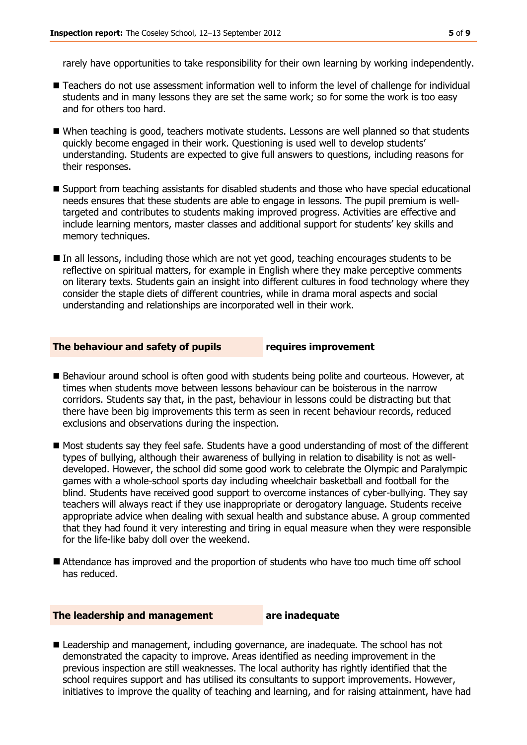rarely have opportunities to take responsibility for their own learning by working independently.

- Teachers do not use assessment information well to inform the level of challenge for individual students and in many lessons they are set the same work; so for some the work is too easy and for others too hard.
- When teaching is good, teachers motivate students. Lessons are well planned so that students quickly become engaged in their work. Questioning is used well to develop students' understanding. Students are expected to give full answers to questions, including reasons for their responses.
- Support from teaching assistants for disabled students and those who have special educational needs ensures that these students are able to engage in lessons. The pupil premium is welltargeted and contributes to students making improved progress. Activities are effective and include learning mentors, master classes and additional support for students' key skills and memory techniques.
- In all lessons, including those which are not yet good, teaching encourages students to be reflective on spiritual matters, for example in English where they make perceptive comments on literary texts. Students gain an insight into different cultures in food technology where they consider the staple diets of different countries, while in drama moral aspects and social understanding and relationships are incorporated well in their work.

#### **The behaviour and safety of pupils requires improvement**

- Behaviour around school is often good with students being polite and courteous. However, at times when students move between lessons behaviour can be boisterous in the narrow corridors. Students say that, in the past, behaviour in lessons could be distracting but that there have been big improvements this term as seen in recent behaviour records, reduced exclusions and observations during the inspection.
- Most students say they feel safe. Students have a good understanding of most of the different types of bullying, although their awareness of bullying in relation to disability is not as welldeveloped. However, the school did some good work to celebrate the Olympic and Paralympic games with a whole-school sports day including wheelchair basketball and football for the blind. Students have received good support to overcome instances of cyber-bullying. They say teachers will always react if they use inappropriate or derogatory language. Students receive appropriate advice when dealing with sexual health and substance abuse. A group commented that they had found it very interesting and tiring in equal measure when they were responsible for the life-like baby doll over the weekend.
- Attendance has improved and the proportion of students who have too much time off school has reduced.

#### **The leadership and management are inadequate**

 Leadership and management, including governance, are inadequate. The school has not demonstrated the capacity to improve. Areas identified as needing improvement in the previous inspection are still weaknesses. The local authority has rightly identified that the school requires support and has utilised its consultants to support improvements. However, initiatives to improve the quality of teaching and learning, and for raising attainment, have had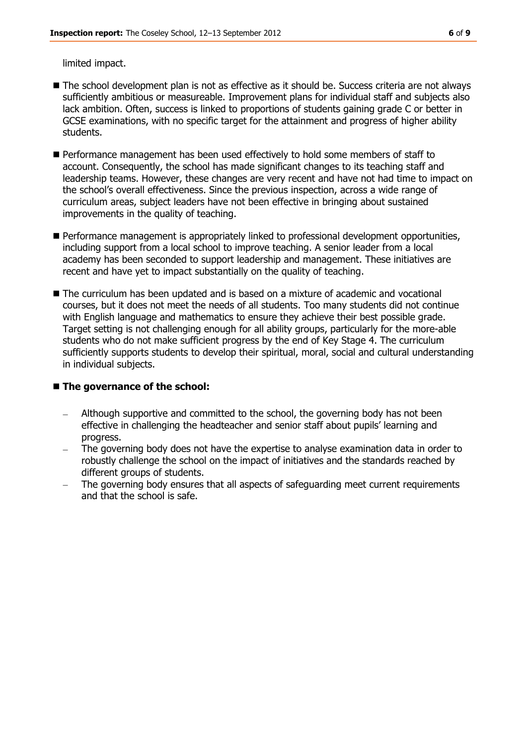limited impact.

- The school development plan is not as effective as it should be. Success criteria are not always sufficiently ambitious or measureable. Improvement plans for individual staff and subjects also lack ambition. Often, success is linked to proportions of students gaining grade C or better in GCSE examinations, with no specific target for the attainment and progress of higher ability students.
- Performance management has been used effectively to hold some members of staff to account. Consequently, the school has made significant changes to its teaching staff and leadership teams. However, these changes are very recent and have not had time to impact on the school's overall effectiveness. Since the previous inspection, across a wide range of curriculum areas, subject leaders have not been effective in bringing about sustained improvements in the quality of teaching.
- **Performance management is appropriately linked to professional development opportunities,** including support from a local school to improve teaching. A senior leader from a local academy has been seconded to support leadership and management. These initiatives are recent and have yet to impact substantially on the quality of teaching.
- The curriculum has been updated and is based on a mixture of academic and vocational courses, but it does not meet the needs of all students. Too many students did not continue with English language and mathematics to ensure they achieve their best possible grade. Target setting is not challenging enough for all ability groups, particularly for the more-able students who do not make sufficient progress by the end of Key Stage 4. The curriculum sufficiently supports students to develop their spiritual, moral, social and cultural understanding in individual subjects.

#### ■ The governance of the school:

- Although supportive and committed to the school, the governing body has not been effective in challenging the headteacher and senior staff about pupils' learning and progress.
- The governing body does not have the expertise to analyse examination data in order to robustly challenge the school on the impact of initiatives and the standards reached by different groups of students.
- The governing body ensures that all aspects of safeguarding meet current requirements and that the school is safe.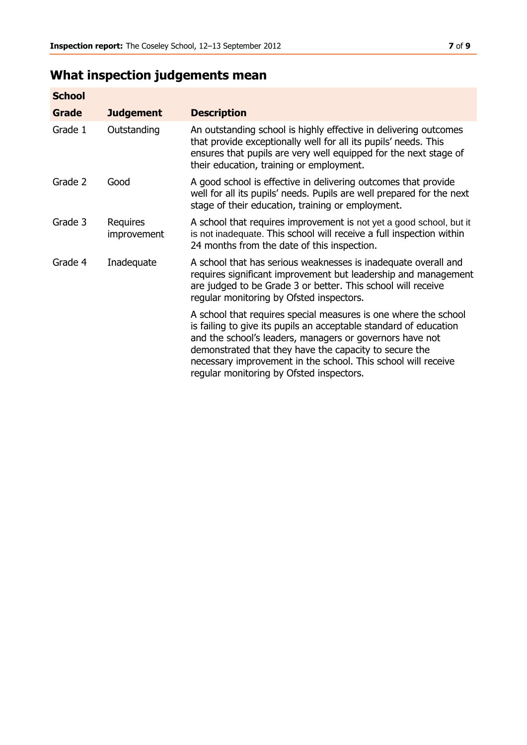# **What inspection judgements mean**

| <b>School</b> |                         |                                                                                                                                                                                                                                                                                                                                                                         |
|---------------|-------------------------|-------------------------------------------------------------------------------------------------------------------------------------------------------------------------------------------------------------------------------------------------------------------------------------------------------------------------------------------------------------------------|
| Grade         | <b>Judgement</b>        | <b>Description</b>                                                                                                                                                                                                                                                                                                                                                      |
| Grade 1       | Outstanding             | An outstanding school is highly effective in delivering outcomes<br>that provide exceptionally well for all its pupils' needs. This<br>ensures that pupils are very well equipped for the next stage of<br>their education, training or employment.                                                                                                                     |
| Grade 2       | Good                    | A good school is effective in delivering outcomes that provide<br>well for all its pupils' needs. Pupils are well prepared for the next<br>stage of their education, training or employment.                                                                                                                                                                            |
| Grade 3       | Requires<br>improvement | A school that requires improvement is not yet a good school, but it<br>is not inadequate. This school will receive a full inspection within<br>24 months from the date of this inspection.                                                                                                                                                                              |
| Grade 4       | Inadequate              | A school that has serious weaknesses is inadequate overall and<br>requires significant improvement but leadership and management<br>are judged to be Grade 3 or better. This school will receive<br>regular monitoring by Ofsted inspectors.                                                                                                                            |
|               |                         | A school that requires special measures is one where the school<br>is failing to give its pupils an acceptable standard of education<br>and the school's leaders, managers or governors have not<br>demonstrated that they have the capacity to secure the<br>necessary improvement in the school. This school will receive<br>regular monitoring by Ofsted inspectors. |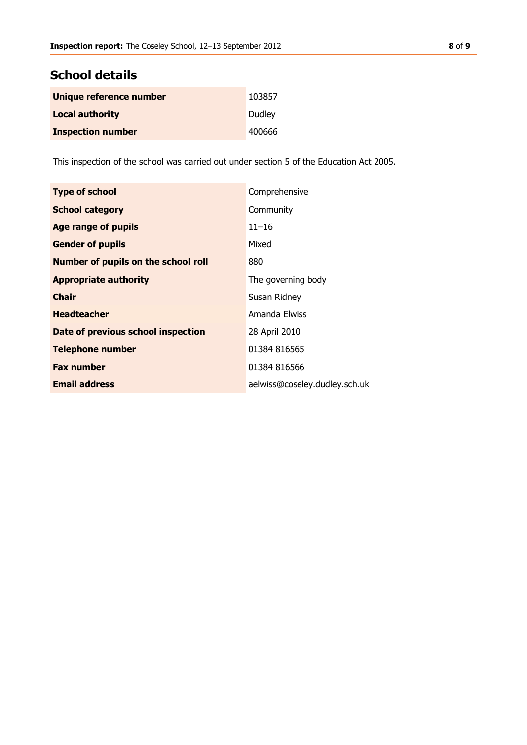#### **School details**

| Unique reference number  | 103857 |
|--------------------------|--------|
| <b>Local authority</b>   | Dudley |
| <b>Inspection number</b> | 400666 |

This inspection of the school was carried out under section 5 of the Education Act 2005.

| <b>Type of school</b>                      | Comprehensive                 |
|--------------------------------------------|-------------------------------|
| <b>School category</b>                     | Community                     |
| <b>Age range of pupils</b>                 | $11 - 16$                     |
| <b>Gender of pupils</b>                    | Mixed                         |
| <b>Number of pupils on the school roll</b> | 880                           |
| <b>Appropriate authority</b>               | The governing body            |
| <b>Chair</b>                               | Susan Ridney                  |
| <b>Headteacher</b>                         | Amanda Elwiss                 |
| Date of previous school inspection         | 28 April 2010                 |
| <b>Telephone number</b>                    | 01384 816565                  |
| <b>Fax number</b>                          | 01384 816566                  |
| <b>Email address</b>                       | aelwiss@coseley.dudley.sch.uk |